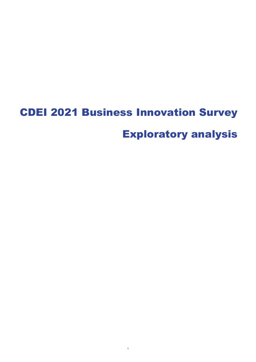# CDEI 2021 Business Innovation Survey Exploratory analysis

1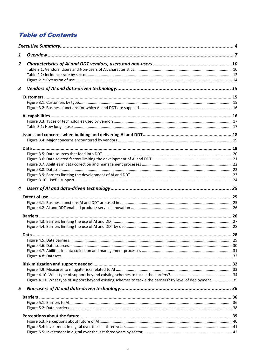### **Table of Contents**

| 1                                                                                                          |  |
|------------------------------------------------------------------------------------------------------------|--|
| $\overline{\mathbf{z}}$                                                                                    |  |
|                                                                                                            |  |
|                                                                                                            |  |
|                                                                                                            |  |
| 3                                                                                                          |  |
|                                                                                                            |  |
|                                                                                                            |  |
|                                                                                                            |  |
|                                                                                                            |  |
|                                                                                                            |  |
|                                                                                                            |  |
|                                                                                                            |  |
|                                                                                                            |  |
|                                                                                                            |  |
|                                                                                                            |  |
|                                                                                                            |  |
|                                                                                                            |  |
|                                                                                                            |  |
|                                                                                                            |  |
| 4                                                                                                          |  |
|                                                                                                            |  |
|                                                                                                            |  |
|                                                                                                            |  |
|                                                                                                            |  |
|                                                                                                            |  |
|                                                                                                            |  |
|                                                                                                            |  |
|                                                                                                            |  |
|                                                                                                            |  |
|                                                                                                            |  |
|                                                                                                            |  |
|                                                                                                            |  |
|                                                                                                            |  |
|                                                                                                            |  |
|                                                                                                            |  |
| Figure 4.11: What type of support beyond existing schemes to tackle the barriers? By level of deployment35 |  |
| 5                                                                                                          |  |
|                                                                                                            |  |
|                                                                                                            |  |
|                                                                                                            |  |
|                                                                                                            |  |
|                                                                                                            |  |
|                                                                                                            |  |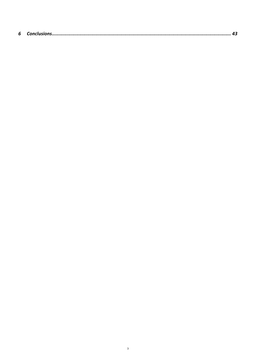|--|--|--|--|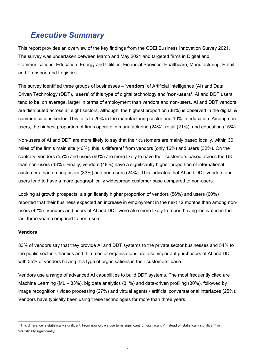# <span id="page-3-0"></span>*Executive Summary*

This report provides an overview of the key findings from the CDEI Business Innovation Survey 2021. The survey was undertaken between March and May 2021 and targeted firms in Digital and Communications, Education, Energy and Utilities, Financial Services, Healthcare, Manufacturing, Retail and Transport and Logistics.

The survey identified three groups of businesses – '**vendors**' of Artificial Intelligence (AI) and Data Driven Technology (DDT), '**users**' of this type of digital technology and '**non-users'**. AI and DDT users tend to be, on average, larger in terms of employment than vendors and non-users. AI and DDT vendors are distributed across all eight sectors, although, the highest proportion (38%) is observed in the digital & communications sector. This falls to 20% in the manufacturing sector and 10% in education. Among nonusers, the highest proportion of firms operate in manufacturing (24%), retail (21%), and education (15%).

Non-users of AI and DDT are more likely to say that their customers are mainly based locally, within 30 miles of the firm's main site  $(46%)$ , this is different<sup>[1](#page-3-1)</sup> from vendors (only 16%) and users (32%). On the contrary, vendors (55%) and users (60%) are more likely to have their customers based across the UK than non-users (43%). Finally, vendors (49%) have a significantly higher proportion of international customers than among users (33%) and non-users (24%). This indicates that AI and DDT vendors and users tend to have a more geographically widespread customer base compared to non-users.

Looking at growth prospects, a significantly higher proportion of vendors (56%) and users (60%) reported that their business expected an increase in employment in the next 12 months than among nonusers (42%). Vendors and users of AI and DDT were also more likely to report having innovated in the last three years compared to non-users.

#### **Vendors**

83% of vendors say that they provide AI and DDT systems to the private sector businesses and 54% to the public sector. Charities and third sector organisations are also important purchasers of AI and DDT with 35% of vendors having this type of organisations in their customers' base.

Vendors use a range of advanced AI capabilities to build DDT systems. The most frequently cited are Machine Learning (ML – 33%), big data analytics (31%) and data-driven profiling (30%), followed by image recognition / video processing (27%) and virtual agents / artificial conversational interfaces (25%). Vendors have typically been using these technologies for more than three years.

<span id="page-3-1"></span> 1 This difference is statistically significant. From now on, we use term 'significant' or 'significantly' instead of 'statistically significant' or 'statistically significantly'.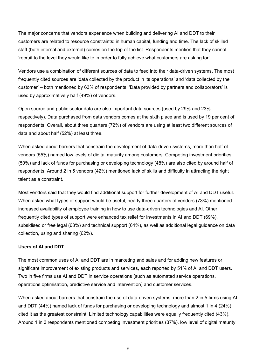The major concerns that vendors experience when building and delivering AI and DDT to their customers are related to resource constraints: in human capital, funding and time. The lack of skilled staff (both internal and external) comes on the top of the list. Respondents mention that they cannot 'recruit to the level they would like to in order to fully achieve what customers are asking for'.

Vendors use a combination of different sources of data to feed into their data-driven systems. The most frequently cited sources are 'data collected by the product in its operations' and 'data collected by the customer' – both mentioned by 63% of respondents. 'Data provided by partners and collaborators' is used by approximatively half (49%) of vendors.

Open source and public sector data are also important data sources (used by 29% and 23% respectively). Data purchased from data vendors comes at the sixth place and is used by 19 per cent of respondents. Overall, about three quarters (72%) of vendors are using at least two different sources of data and about half (52%) at least three.

When asked about barriers that constrain the development of data-driven systems, more than half of vendors (55%) named low levels of digital maturity among customers. Competing investment priorities (50%) and lack of funds for purchasing or developing technology (48%) are also cited by around half of respondents. Around 2 in 5 vendors (42%) mentioned lack of skills and difficulty in attracting the right talent as a constraint.

Most vendors said that they would find additional support for further development of AI and DDT useful. When asked what types of support would be useful, nearly three quarters of vendors (73%) mentioned increased availability of employee training in how to use data-driven technologies and AI. Other frequently cited types of support were enhanced tax relief for investments in AI and DDT (69%), subsidised or free legal (68%) and technical support (64%), as well as additional legal guidance on data collection, using and sharing (62%).

#### **Users of AI and DDT**

The most common uses of AI and DDT are in marketing and sales and for adding new features or significant improvement of existing products and services, each reported by 51% of AI and DDT users. Two in five firms use AI and DDT in service operations (such as automated service operations, operations optimisation, predictive service and intervention) and customer services.

When asked about barriers that constrain the use of data-driven systems, more than 2 in 5 firms using AI and DDT (44%) named lack of funds for purchasing or developing technology and almost 1 in 4 (24%) cited it as the greatest constraint. Limited technology capabilities were equally frequently cited (43%). Around 1 in 3 respondents mentioned competing investment priorities (37%), low level of digital maturity

5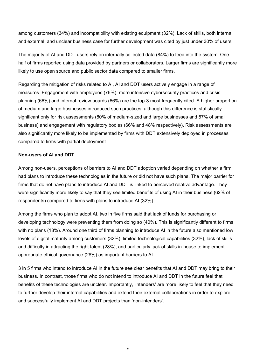among customers (34%) and incompatibility with existing equipment (32%). Lack of skills, both internal and external, and unclear business case for further development was cited by just under 30% of users.

The majority of AI and DDT users rely on internally collected data (84%) to feed into the system. One half of firms reported using data provided by partners or collaborators. Larger firms are significantly more likely to use open source and public sector data compared to smaller firms.

Regarding the mitigation of risks related to AI, AI and DDT users actively engage in a range of measures. Engagement with employees (76%), more intensive cybersecurity practices and crisis planning (66%) and internal review boards (66%) are the top-3 most frequently cited. A higher proportion of medium and large businesses introduced such practices, although this difference is statistically significant only for risk assessments (80% of medium-sized and large businesses and 57% of small business) and engagement with regulatory bodies (66% and 48% respectively). Risk assessments are also significantly more likely to be implemented by firms with DDT extensively deployed in processes compared to firms with partial deployment.

#### **Non-users of AI and DDT**

Among non-users, perceptions of barriers to AI and DDT adoption varied depending on whether a firm had plans to introduce these technologies in the future or did not have such plans. The major barrier for firms that do not have plans to introduce AI and DDT is linked to perceived relative advantage. They were significantly more likely to say that they see limited benefits of using AI in their business (62% of respondents) compared to firms with plans to introduce AI (32%).

Among the firms who plan to adopt AI, two in five firms said that lack of funds for purchasing or developing technology were preventing them from doing so (40%). This is significantly different to firms with no plans (18%). Around one third of firms planning to introduce AI in the future also mentioned low levels of digital maturity among customers (32%), limited technological capabilities (32%), lack of skills and difficulty in attracting the right talent (28%), and particularly lack of skills in-house to implement appropriate ethical governance (28%) as important barriers to AI.

3 in 5 firms who intend to introduce AI in the future see clear benefits that AI and DDT may bring to their business. In contrast, those firms who do not intend to introduce AI and DDT in the future feel that benefits of these technologies are unclear. Importantly, 'intenders' are more likely to feel that they need to further develop their internal capabilities and extend their external collaborations in order to explore and successfully implement AI and DDT projects than 'non-intenders'.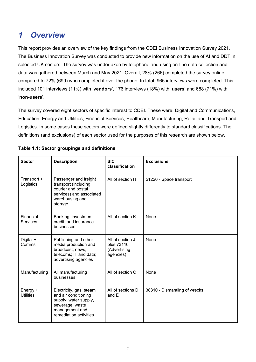# <span id="page-6-0"></span>*1 Overview*

This report provides an overview of the key findings from the CDEI Business Innovation Survey 2021. The Business Innovation Survey was conducted to provide new information on the use of AI and DDT in selected UK sectors. The survey was undertaken by telephone and using on-line data collection and data was gathered between March and May 2021. Overall, 28% (266) completed the survey online compared to 72% (699) who completed it over the phone. In total, 965 interviews were completed. This included 101 interviews (11%) with '**vendors**', 176 interviews (18%) with '**users**' and 688 (71%) with '**non-users**'.

The survey covered eight sectors of specific interest to CDEI. These were: Digital and Communications, Education, Energy and Utilities, Financial Services, Healthcare, Manufacturing, Retail and Transport and Logistics. In some cases these sectors were defined slightly differently to standard classifications. The definitions (and exclusions) of each sector used for the purposes of this research are shown below.

| <b>Sector</b>                | <b>Description</b>                                                                                                                      | <b>SIC</b><br>classification                                | <b>Exclusions</b>             |
|------------------------------|-----------------------------------------------------------------------------------------------------------------------------------------|-------------------------------------------------------------|-------------------------------|
| Transport +<br>Logistics     | Passenger and freight<br>transport (including<br>courier and postal<br>services) and associated<br>warehousing and<br>storage.          | All of section H                                            | 51220 - Space transport       |
| Financial<br><b>Services</b> | Banking, investment,<br>credit, and insurance<br>businesses                                                                             | All of section K                                            | None                          |
| Digital +<br>Comms           | Publishing and other<br>media production and<br>broadcast; news;<br>telecoms; IT and data;<br>advertising agencies                      | All of section J<br>plus 73110<br>(Advertising<br>agencies) | None                          |
| Manufacturing                | All manufacturing<br>businesses                                                                                                         | All of section C                                            | None                          |
| Energy +<br><b>Utilities</b> | Electricity, gas, steam<br>and air conditioning<br>supply; water supply,<br>sewerage, waste<br>management and<br>remediation activities | All of sections D<br>and E                                  | 38310 - Dismantling of wrecks |

#### **Table 1.1: Sector groupings and definitions**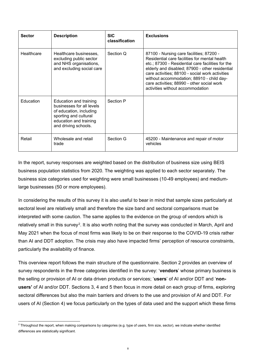| <b>Sector</b> | <b>Description</b>                                                                                                                                        | <b>SIC</b><br>classification | <b>Exclusions</b>                                                                                                                                                                                                                                                                                                                                                                   |
|---------------|-----------------------------------------------------------------------------------------------------------------------------------------------------------|------------------------------|-------------------------------------------------------------------------------------------------------------------------------------------------------------------------------------------------------------------------------------------------------------------------------------------------------------------------------------------------------------------------------------|
| Healthcare    | Healthcare businesses,<br>excluding public sector<br>and NHS organisations,<br>and excluding social care                                                  | Section Q                    | 87100 - Nursing care facilities; 87200 -<br>Residential care facilities for mental health<br>etc.; 87300 - Residential care facilities for the<br>elderly and disabled; 87900 - other residential<br>care activities; 88100 - social work activities<br>without accommodation; 88910 - child day-<br>care activities; 88990 - other social work<br>activities without accommodation |
| Education     | Education and training<br>businesses for all levels<br>of education, including<br>sporting and cultural<br>education and training<br>and driving schools. | Section P                    |                                                                                                                                                                                                                                                                                                                                                                                     |
| Retail        | Wholesale and retail<br>trade                                                                                                                             | Section G                    | 45200 - Maintenance and repair of motor<br>vehicles                                                                                                                                                                                                                                                                                                                                 |

In the report, survey responses are weighted based on the distribution of business size using BEIS business population statistics from 2020. The weighting was applied to each sector separately. The business size categories used for weighting were small businesses (10-49 employees) and mediumlarge businesses (50 or more employees).

In considering the results of this survey it is also useful to bear in mind that sample sizes particularly at sectoral level are relatively small and therefore the size band and sectoral comparisons must be interpreted with some caution. The same applies to the evidence on the group of vendors which is relatively small in this survey<sup>[2](#page-7-0)</sup>. It is also worth noting that the survey was conducted in March, April and May 2021 when the focus of most firms was likely to be on their response to the COVID-19 crisis rather than AI and DDT adoption. The crisis may also have impacted firms' perception of resource constraints, particularly the availability of finance.

This overview report follows the main structure of the questionnaire. Section 2 provides an overview of survey respondents in the three categories identified in the survey: '**vendors**' whose primary business is the selling or provision of AI or data driven products or services; '**users**' of AI and/or DDT and '**nonusers'** of AI and/or DDT. Sections 3, 4 and 5 then focus in more detail on each group of firms, exploring sectoral differences but also the main barriers and drivers to the use and provision of AI and DDT. For users of AI (Section 4) we focus particularly on the types of data used and the support which these firms

<span id="page-7-0"></span><sup>&</sup>lt;sup>2</sup> Throughout the report, when making comparisons by categories (e.g. type of users, firm size, sector), we indicate whether identified differences are statistically significant.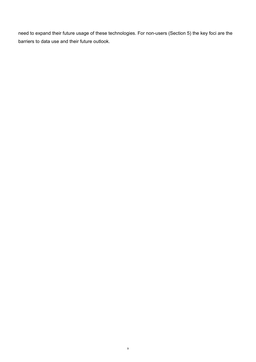need to expand their future usage of these technologies. For non-users (Section 5) the key foci are the barriers to data use and their future outlook.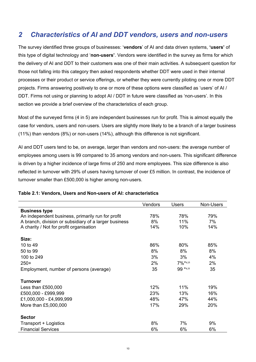## <span id="page-9-0"></span>*2 Characteristics of AI and DDT vendors, users and non-users*

The survey identified three groups of businesses: '**vendors**' of AI and data driven systems, **'users'** of this type of digital technology and '**non-users'**. Vendors were identified in the survey as firms for which the delivery of AI and DDT to their customers was one of their main activities. A subsequent question for those not falling into this category then asked respondents whether DDT were used in their internal processes or their product or service offerings, or whether they were currently piloting one or more DDT projects. Firms answering positively to one or more of these options were classified as 'users' of AI / DDT. Firms not using or planning to adopt AI / DDT in future were classified as 'non-users'. In this section we provide a brief overview of the characteristics of each group.

Most of the surveyed firms (4 in 5) are independent businesses run for profit. This is almost equally the case for vendors, users and non-users. Users are slightly more likely to be a branch of a larger business (11%) than vendors (8%) or non-users (14%), although this difference is not significant.

AI and DDT users tend to be, on average, larger than vendors and non-users: the average number of employees among users is 99 compared to 35 among vendors and non-users. This significant difference is driven by a higher incidence of large firms of 250 and more employees. This size difference is also reflected in turnover with 29% of users having turnover of over £5 million. In contrast, the incidence of turnover smaller than £500,000 is higher among non-users.

|                                                       | Vendors | <b>Users</b> | Non-Users |
|-------------------------------------------------------|---------|--------------|-----------|
| <b>Business type</b>                                  |         |              |           |
| An independent business, primarily run for profit     | 78%     | 78%          | 79%       |
| A branch, division or subsidiary of a larger business | 8%      | 11%          | 7%        |
| A charity / Not for profit organisation               | 14%     | 10%          | 14%       |
|                                                       |         |              |           |
| Size:                                                 |         |              |           |
| 10 to 49                                              | 86%     | 80%          | 85%       |
| 50 to 99                                              | 8%      | 8%           | 8%        |
| 100 to 249                                            | 3%      | 3%           | 4%        |
| $250+$                                                | 2%      | $7\%***$     | 2%        |
| Employment, number of persons (average)               | 35      | 99 *v,n      | 35        |
| <b>Turnover</b>                                       |         |              |           |
| Less than $£500,000$                                  | 12%     | 11%          | 19%       |
| £500,000 - £999,999                                   | 23%     | 13%          | 16%       |
| £1,000,000 - £4,999,999                               | 48%     | 47%          | 44%       |
| More than £5,000,000                                  | 17%     | 29%          | 20%       |
| <b>Sector</b>                                         |         |              |           |
| Transport + Logistics                                 | 8%      | 7%           | 9%        |
| <b>Financial Services</b>                             | 6%      | 6%           | 6%        |

#### <span id="page-9-1"></span>**Table 2.1: Vendors, Users and Non-users of AI: characteristics**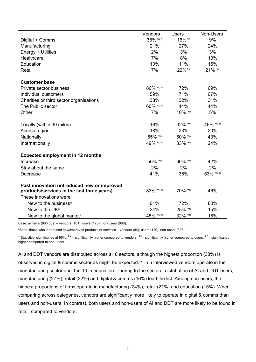|                                             | Vendors  | Users  | Non-Users |
|---------------------------------------------|----------|--------|-----------|
| Digital + Comms                             | 38%*u,n  | 16%*n  | 9%        |
| Manufacturing                               | 21%      | 27%    | 24%       |
| Energy + Utilities                          | 2%       | 3%     | 3%        |
| Healthcare                                  | 7%       | 8%     | 13%       |
| Education                                   | 10%      | 11%    | 15%       |
| Retail                                      | 7%       | 22%*v  | 21% *v    |
| <b>Customer base</b>                        |          |        |           |
| Private sector business                     | 86% *u,n | 72%    | 69%       |
| Individual customers                        | 59%      | 71%    | 67%       |
| Charities or third sector organisations     | 38%      | 32%    | 31%       |
| The Public sector                           | 60% *u,n | 44%    | 44%       |
| Other                                       | 7%       | 10% *n | 5%        |
| Locally (within 30 miles)                   | 16%      | 32% *v | 46% *v,n  |
| Across region                               | 18%      | 23%    | 20%       |
| Nationally                                  | 55% *n   | 60% *n | 43%       |
| Internationally                             | 49% *u,n | 33% *n | 24%       |
| <b>Expected employment in 12 months</b>     |          |        |           |
| Increase                                    | 56% *n   | 60% *n | 42%       |
| Stay about the same                         | 2%       | 2%     | 2%        |
| Decrease                                    | 41%      | 35%    | 53% *v,n  |
| Past innovation (introduced new or improved |          |        |           |
| products/services in the last three years)  | 83% *u,n | 70% *n | 46%       |
| These innovations were:                     |          |        |           |
| New to the business <sup>a</sup>            | 61%      | 72%    | 80%       |
| New to the UK <sup>a</sup>                  | 24%      | 25% *n | 15%       |
| New to the global market <sup>a</sup>       | 45% *u,n | 32% *n | 16%       |

Base: all firms (965 obs) – vendors (101), users (176), non-users (688);

a Base: those who introduced new/improved products or services – vendors (84), users (120), non-users (323).

\* Statistical significance at 95%: **\*<sup>v</sup>** – significantly higher compared to vendors; **\*u** - significantly higher compared to users; **\*n** - significantly higher compared to non-users.

AI and DDT vendors are distributed across all 8 sectors, although the highest proportion (38%) is observed in digital & comms sector as might be expected. 1 in 5 interviewed vendors operate in the manufacturing sector and 1 in 10 in education. Turning to the sectoral distribution of AI and DDT users, manufacturing (27%), retail (22%) and digital & comms (16%) lead the list. Among non-users, the highest proportions of firms operate in manufacturing (24%), retail (21%) and education (15%). When comparing across categories, vendors are significantly more likely to operate in digital & comms than users and non-users. In contrast, both users and non-users of AI and DDT are more likely to be found in retail, compared to vendors.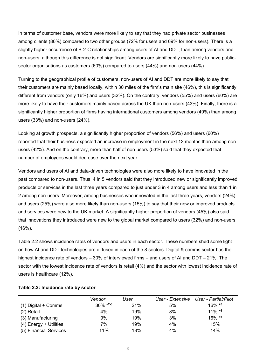In terms of customer base, vendors were more likely to say that they had private sector businesses among clients (86%) compared to two other groups (72% for users and 69% for non-users). There is a slightly higher occurrence of B-2-C relationships among users of AI and DDT, than among vendors and non-users, although this difference is not significant. Vendors are significantly more likely to have publicsector organisations as customers (60%) compared to users (44%) and non-users (44%).

Turning to the geographical profile of customers, non-users of AI and DDT are more likely to say that their customers are mainly based locally, within 30 miles of the firm's main site (46%), this is significantly different from vendors (only 16%) and users (32%). On the contrary, vendors (55%) and users (60%) are more likely to have their customers mainly based across the UK than non-users (43%). Finally, there is a significantly higher proportion of firms having international customers among vendors (49%) than among users (33%) and non-users (24%).

Looking at growth prospects, a significantly higher proportion of vendors (56%) and users (60%) reported that their business expected an increase in employment in the next 12 months than among nonusers (42%). And on the contrary, more than half of non-users (53%) said that they expected that number of employees would decrease over the next year.

Vendors and users of AI and data-driven technologies were also more likely to have innovated in the past compared to non-users. Thus, 4 in 5 vendors said that they introduced new or significantly improved products or services in the last three years compared to just under 3 in 4 among users and less than 1 in 2 among non-users. Moreover, among businesses who innovated in the last three years, vendors (24%) and users (25%) were also more likely than non-users (15%) to say that their new or improved products and services were new to the UK market. A significantly higher proportion of vendors (45%) also said that innovations they introduced were new to the global market compared to users (32%) and non-users (16%).

Table 2.2 shows incidence rates of vendors and users in each sector. These numbers shed some light on how AI and DDT technologies are diffused in each of the 8 sectors. Digital & comms sector has the highest incidence rate of vendors – 30% of interviewed firms – and users of AI and DDT – 21%. The sector with the lowest incidence rate of vendors is retail (4%) and the sector with lowest incidence rate of users is healthcare (12%).

|                        | Vendor      | User | User - Extensive | User - Partial/Pilot  |
|------------------------|-------------|------|------------------|-----------------------|
| $(1)$ Digital + Comms  | $30\%$ *2-8 | 21%  | 5%               | $16\%$ *8             |
| (2) Retail             | 4%          | 19%  | 8%               | $11\%$ *8             |
| (3) Manufacturing      | 9%          | 19%  | 3%               | $16\% *$ <sup>8</sup> |
| (4) Energy + Utilities | 7%          | 19%  | 4%               | 15%                   |
| (5) Financial Services | 11%         | 18%  | 4%               | 14%                   |

#### <span id="page-11-0"></span>**Table 2.2: Incidence rate by sector**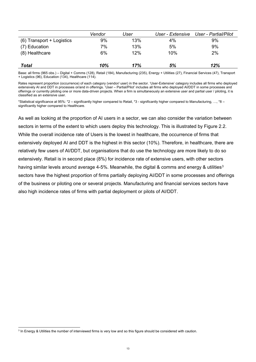|                           | Vendor | User | User - Extensive | User - Partial/Pilot |
|---------------------------|--------|------|------------------|----------------------|
| (6) Transport + Logistics | 9%     | 13%  | 4%               | 9%                   |
| (7) Education             | 7%     | 13%  | 5%               | 9%                   |
| (8) Healthcare            | 6%     | 12%  | 10%              | 2%                   |
|                           |        |      |                  |                      |
| Total                     | 10%    | 17%  | 5%               | 12%                  |

Base: all firms (965 obs.) – Digital + Comms (128), Retail (184), Manufacturing (235), Energy + Utilities (27), Financial Services (47), Transport + Logistics (96), Education (134), Healthcare (114).

Rates represent proportion (occurrence) of each category (vendor/ user) in the sector. 'User-Extensive' category includes all firms who deployed extensively AI and DDT in processes or/and in offerings. 'User – Partial/Pilot' includes all firms who deployed AI/DDT in some processes and offerings or currently piloting one or more data-driven projects. When a firm is simultaneously an extensive user and partial user / piloting, it is classified as an extensive user.

\*Statistical significance at 95%: \*2 – significantly higher compared to Retail, \*3 - significantly higher compared to Manufacturing, …, \*8 – significantly higher compared to Healthcare.

As well as looking at the proportion of AI users in a sector, we can also consider the variation between sectors in terms of the extent to which users deploy this technology. This is illustrated by Figure 2.2. While the overall incidence rate of Users is the lowest in healthcare, the occurrence of firms that extensively deployed AI and DDT is the highest in this sector (10%). Therefore, in healthcare, there are relatively few users of AI/DDT, but organisations that do use the technology are more likely to do so extensively. Retail is in second place (8%) for incidence rate of extensive users, with other sectors having similar levels around average 4-5%. Meanwhile, the digital & comms and energy & utilities<sup>[3](#page-12-0)</sup> sectors have the highest proportion of firms partially deploying AI/DDT in some processes and offerings of the business or piloting one or several projects. Manufacturing and financial services sectors have also high incidence rates of firms with partial deployment or pilots of AI/DDT.

<span id="page-12-0"></span><sup>&</sup>lt;sup>3</sup> In Energy & Utilities the number of interviewed firms is very low and so this figure should be considered with caution.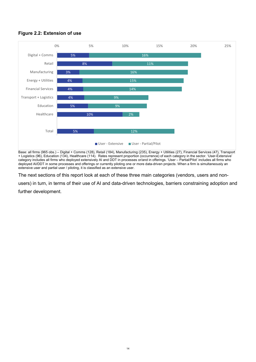#### <span id="page-13-0"></span>**Figure 2.2: Extension of use**



Base: all firms (965 obs.) – Digital + Comms (128), Retail (184), Manufacturing (235), Energy + Utilities (27), Financial Services (47), Transport + Logistics (96), Education (134), Healthcare (114). Rates represent proportion (occurrence) of each category in the sector. 'User-Extensive' category includes all firms who deployed extensively AI and DDT in processes or/and in offerings. 'User – Partial/Pilot' includes all firms who deployed AI/DDT in some processes and offerings or currently piloting one or more data-driven projects. When a firm is simultaneously an extensive user and partial user / piloting, it is classified as an extensive user.

The next sections of this report look at each of these three main categories (vendors, users and non-

users) in turn, in terms of their use of AI and data-driven technologies, barriers constraining adoption and further development.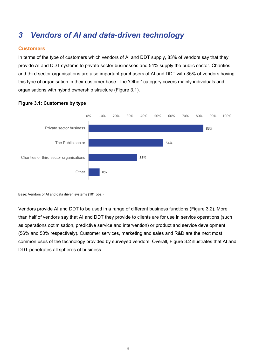# <span id="page-14-0"></span>*3 Vendors of AI and data-driven technology*

### <span id="page-14-1"></span>**Customers**

In terms of the type of customers which vendors of AI and DDT supply, 83% of vendors say that they provide AI and DDT systems to private sector businesses and 54% supply the public sector. Charities and third sector organisations are also important purchasers of AI and DDT with 35% of vendors having this type of organisation in their customer base. The 'Other' category covers mainly individuals and organisations with hybrid ownership structure (Figure 3.1).



#### <span id="page-14-2"></span>**Figure 3.1: Customers by type**

Base: Vendors of AI and data driven systems (101 obs.)

Vendors provide AI and DDT to be used in a range of different business functions (Figure 3.2). More than half of vendors say that AI and DDT they provide to clients are for use in service operations (such as operations optimisation, predictive service and intervention) or product and service development (56% and 50% respectively). Customer services, marketing and sales and R&D are the next most common uses of the technology provided by surveyed vendors. Overall, Figure 3.2 illustrates that AI and DDT penetrates all spheres of business.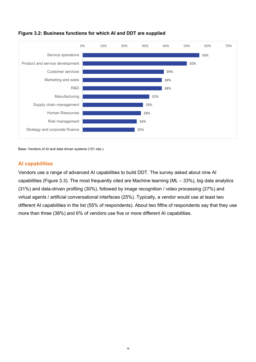

### <span id="page-15-0"></span>**Figure 3.2: Business functions for which AI and DDT are supplied**

Base: Vendors of AI and data driven systems (101 obs.)

### <span id="page-15-1"></span>**AI capabilities**

Vendors use a range of advanced AI capabilities to build DDT. The survey asked about nine AI capabilities (Figure 3.3). The most frequently cited are Machine learning (ML – 33%), big data analytics (31%) and data-driven profiling (30%), followed by image recognition / video processing (27%) and virtual agents / artificial conversational interfaces (25%). Typically, a vendor would use at least two different AI capabilities in the list (55% of respondents). About two fifths of respondents say that they use more than three (38%) and 6% of vendors use five or more different AI capabilities.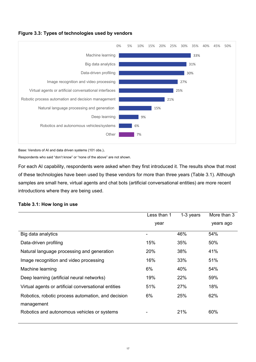<span id="page-16-0"></span>



Base: Vendors of AI and data driven systems (101 obs.).

Respondents who said "don't know" or "none of the above" are not shown.

For each AI capability, respondents were asked when they first introduced it. The results show that most of these technologies have been used by these vendors for more than three years (Table 3.1). Although samples are small here, virtual agents and chat bots (artificial conversational entities) are more recent introductions where they are being used.

#### <span id="page-16-1"></span>**Table 3.1: How long in use**

|                                                      | Less than 1 | 1-3 years | More than 3 |
|------------------------------------------------------|-------------|-----------|-------------|
|                                                      | year        |           | years ago   |
| Big data analytics                                   |             | 46%       | 54%         |
| Data-driven profiling                                | 15%         | 35%       | 50%         |
| Natural language processing and generation           | 20%         | 38%       | 41%         |
| Image recognition and video processing               | 16%         | 33%       | 51%         |
| Machine learning                                     | 6%          | 40%       | 54%         |
| Deep learning (artificial neural networks)           | 19%         | 22%       | 59%         |
| Virtual agents or artificial conversational entities | 51%         | 27%       | 18%         |
| Robotics, robotic process automation, and decision   | 6%          | 25%       | 62%         |
| management                                           |             |           |             |
| Robotics and autonomous vehicles or systems          |             | 21%       | 60%         |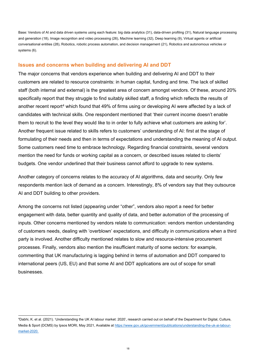Base: Vendors of AI and data driven systems using each feature: big data analytics (31), data-driven profiling (31), Natural language processing and generation (18), Image recognition and video processing (26), Machine learning (32), Deep learning (9), Virtual agents or artificial conversational entities (28), Robotics, robotic process automation, and decision management (21), Robotics and autonomous vehicles or systems (6).

#### <span id="page-17-0"></span>**Issues and concerns when building and delivering AI and DDT**

The major concerns that vendors experience when building and delivering AI and DDT to their customers are related to resource constraints: in human capital, funding and time. The lack of skilled staff (both internal and external) is the greatest area of concern amongst vendors. Of these, around 20% specifically report that they struggle to find suitably skilled staff, a finding which reflects the results of another recent report<sup>[4](#page-17-1)</sup> which found that 49% of firms using or developing AI were affected by a lack of candidates with technical skills. One respondent mentioned that 'their current income doesn't enable them to recruit to the level they would like to in order to fully achieve what customers are asking for'. Another frequent issue related to skills refers to customers' understanding of AI: first at the stage of formulating of their needs and then in terms of expectations and understanding the meaning of AI output. Some customers need time to embrace technology. Regarding financial constraints, several vendors mention the need for funds or working capital as a concern, or described issues related to clients' budgets. One vendor underlined that their business cannot afford to upgrade to new systems.

Another category of concerns relates to the accuracy of AI algorithms, data and security. Only few respondents mention lack of demand as a concern. Interestingly, 8% of vendors say that they outsource AI and DDT building to other providers.

Among the concerns not listed (appearing under "other", vendors also report a need for better engagement with data, better quantity and quality of data, and better automation of the processing of inputs. Other concerns mentioned by vendors relate to communication: vendors mention understanding of customers needs, dealing with 'overblown' expectations, and difficulty in communications when a third party is involved. Another difficulty mentioned relates to slow and resource-intensive procurement processes. Finally, vendors also mention the insufficient maturity of some sectors: for example, commenting that UK manufacturing is lagging behind in terms of automation and DDT compared to international peers (US, EU) and that some AI and DDT applications are out of scope for small businesses.

-

<span id="page-17-1"></span><sup>4</sup> Dabhi, K. et al. (2021). 'Understanding the UK AI labour market: 2020', research carried out on behalf of the Department for Digital, Culture, Media & Sport (DCMS) by Ipsos MORI, May 2021, Available at [https://www.gov.uk/government/publications/understanding-the-uk-ai-labour](https://www.gov.uk/government/publications/understanding-the-uk-ai-labour-market-2020)[market-2020.](https://www.gov.uk/government/publications/understanding-the-uk-ai-labour-market-2020)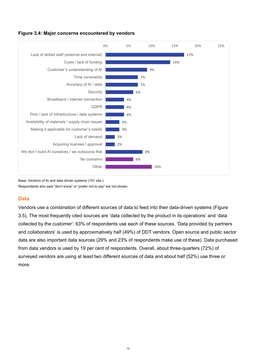<span id="page-18-0"></span>



Base: Vendors of AI and data driven systems (101 obs.).

Respondents who said "don't know" or "prefer not to say" are not shown.

#### <span id="page-18-1"></span>**Data**

Vendors use a combination of different sources of data to feed into their data-driven systems (Figure 3.5). The most frequently cited sources are 'data collected by the product in its operations' and 'data collected by the customer': 63% of respondents use each of these sources. 'Data provided by partners and collaborators' is used by approximatively half (49%) of DDT vendors. Open source and public sector data are also important data sources (29% and 23% of respondents make use of these). Data purchased from data vendors is used by 19 per cent of respondents. Overall, about three-quarters (72%) of surveyed vendors are using at least two different sources of data and about half (52%) use three or more.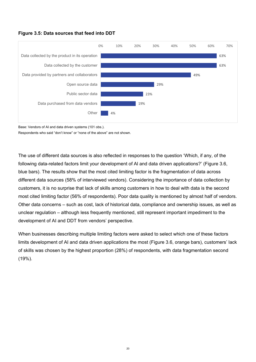#### <span id="page-19-0"></span>**Figure 3.5: Data sources that feed into DDT**



Base: Vendors of AI and data driven systems (101 obs.).

Respondents who said "don't know" or "none of the above" are not shown.

The use of different data sources is also reflected in responses to the question 'Which, if any, of the following data-related factors limit your development of Al and data driven applications?' (Figure 3.6, blue bars). The results show that the most cited limiting factor is the fragmentation of data across different data sources (58% of interviewed vendors). Considering the importance of data collection by customers, it is no surprise that lack of skills among customers in how to deal with data is the second most cited limiting factor (56% of respondents). Poor data quality is mentioned by almost half of vendors. Other data concerns – such as cost, lack of historical data, compliance and ownership issues, as well as unclear regulation – although less frequently mentioned, still represent important impediment to the development of AI and DDT from vendors' perspective.

When businesses describing multiple limiting factors were asked to select which one of these factors limits development of AI and data driven applications the most (Figure 3.6, orange bars), customers' lack of skills was chosen by the highest proportion (28%) of respondents, with data fragmentation second (19%).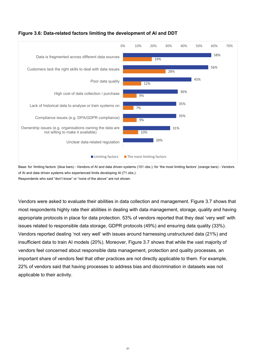

#### <span id="page-20-0"></span>**Figure 3.6: Data-related factors limiting the development of AI and DDT**

Base: for 'limiting factors' (blue bars) - Vendors of AI and data driven systems (101 obs.); for 'the most limiting factors' (orange bars) - Vendors of AI and data driven systems who experienced limits developing AI (71 obs.). Respondents who said "don't know" or "none of the above" are not shown.

Vendors were asked to evaluate their abilities in data collection and management. Figure 3.7 shows that most respondents highly rate their abilities in dealing with data management, storage, quality and having appropriate protocols in place for data protection. 53% of vendors reported that they deal 'very well' with issues related to responsible data storage, GDPR protocols (49%) and ensuring data quality (33%). Vendors reported dealing 'not very well' with issues around harnessing unstructured data (21%) and insufficient data to train AI models (20%). Moreover, Figure 3.7 shows that while the vast majority of vendors feel concerned about responsible data management, protection and quality processes, an important share of vendors feel that other practices are not directly applicable to them. For example, 22% of vendors said that having processes to address bias and discrimination in datasets was not applicable to their activity.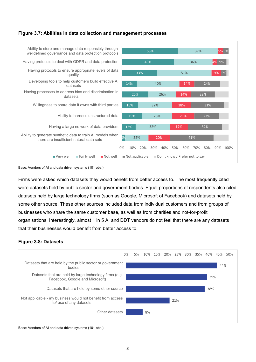#### <span id="page-21-0"></span>**Figure 3.7: Abilities in data collection and management processes**



Base: Vendors of AI and data driven systems (101 obs.).

Firms were asked which datasets they would benefit from better access to. The most frequently cited were datasets held by public sector and government bodies. Equal proportions of respondents also cited datasets held by large technology firms (such as Google, Microsoft of Facebook) and datasets held by some other source. These other sources included data from individual customers and from groups of businesses who share the same customer base, as well as from charities and not-for-profit organisations. Interestingly, almost 1 in 5 AI and DDT vendors do not feel that there are any datasets that their businesses would benefit from better access to.

#### <span id="page-21-1"></span>**Figure 3.8: Datasets**



Base: Vendors of AI and data driven systems (101 obs.).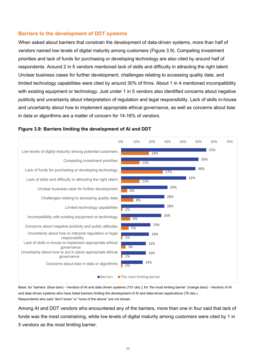#### **Barriers to the development of DDT systems**

When asked about barriers that constrain the development of data-driven systems, more than half of vendors named low levels of digital maturity among customers (Figure 3.9). Competing investment priorities and lack of funds for purchasing or developing technology are also cited by around half of respondents. Around 2 in 5 vendors mentioned lack of skills and difficulty in attracting the right talent. Unclear business cases for further development, challenges relating to accessing quality data, and limited technology capabilities were cited by around 30% of firms. About 1 in 4 mentioned incompatibility with existing equipment or technology. Just under 1 in 5 vendors also identified concerns about negative publicity and uncertainty about interpretation of regulation and legal responsibility. Lack of skills in-house and uncertainty about how to implement appropriate ethical governance, as well as concerns about bias in data or algorithms are a matter of concern for 14-16% of vendors.



#### <span id="page-22-0"></span>**Figure 3.9: Barriers limiting the development of AI and DDT**

Base: for 'barriers' (blue bars) - Vendors of AI and data driven systems (101 obs.); for 'the most limiting barrier' (orange bars) - Vendors of AI and data driven systems who have listed barriers limiting the development of AI and data-driven applications (76 obs.). Respondents who said "don't know" or "none of the above" are not shown.

Among AI and DDT vendors who encountered any of the barriers, more than one in four said that lack of funds was the most constraining, while low levels of digital maturity among customers were cited by 1 in 5 vendors as the most limiting barrier.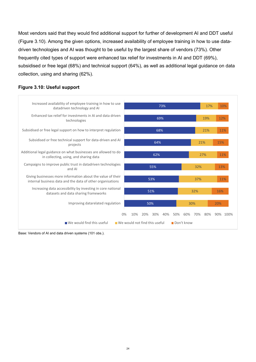Most vendors said that they would find additional support for further of development AI and DDT useful (Figure 3.10). Among the given options, increased availability of employee training in how to use datadriven technologies and AI was thought to be useful by the largest share of vendors (73%). Other frequently cited types of support were enhanced tax relief for investments in AI and DDT (69%), subsidised or free legal (68%) and technical support (64%), as well as additional legal guidance on data collection, using and sharing (62%).

#### 50% 51% 53% 55% 62% 64% 68% 69% 73% 30% 32% 37% 32% 27% 21% 21% 19% 17% 20% 16% 11% 13% 11% 15% 11% 12% 10% 0% 10% 20% 30% 40% 50% 60% 70% 80% 90% 100% Improving datarelated regulation Increasing data accessibility by investing in core national datasets and data sharing frameworks Giving businesses more information about the value of their internal business data and the data of other organisations Campaigns to improve public trust in datadriven technologies and AI Additional legal guidance on what businesses are allowed to do in collecting, using, and sharing data Subsidised or free technical support for data-driven and AI projects Subsidised or free legal support on how to interpret regulation Enhanced tax relief for investments in AI and data driven technologies Increased availability of employee training in how to use datadriven technology and AI  $\blacksquare$  We would find this useful  $\blacksquare$  We would not find this useful  $\blacksquare$  Don't know

#### <span id="page-23-0"></span>**Figure 3.10: Useful support**

Base: Vendors of AI and data driven systems (101 obs.).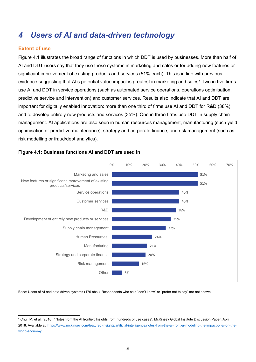# <span id="page-24-0"></span>*4 Users of AI and data-driven technology*

### <span id="page-24-1"></span>**Extent of use**

Figure 4.1 illustrates the broad range of functions in which DDT is used by businesses. More than half of AI and DDT users say that they use these systems in marketing and sales or for adding new features or significant improvement of existing products and services (51% each). This is in line with previous evidence suggesting that AI's potential value impact is greatest in marketing and sales<sup>[5](#page-24-3)</sup>. Two in five firms use AI and DDT in service operations (such as automated service operations, operations optimisation, predictive service and intervention) and customer services. Results also indicate that AI and DDT are important for digitally enabled innovation: more than one third of firms use AI and DDT for R&D (38%) and to develop entirely new products and services (35%). One in three firms use DDT in supply chain management. AI applications are also seen in human resources management, manufacturing (such yield optimisation or predictive maintenance), strategy and corporate finance, and risk management (such as risk modelling or fraud/debt analytics).



#### <span id="page-24-2"></span>**Figure 4.1: Business functions AI and DDT are used in**

Base: Users of AI and data driven systems (176 obs.). Respondents who said "don't know" or "prefer not to say" are not shown.

<span id="page-24-3"></span> <sup>5</sup> Chui, M. et al. (2018). "Notes from the AI frontier: Insights from hundreds of use cases", McKinsey Global Institute Discussion Paper, April 2018. Available at[: https://www.mckinsey.com/featured-insights/artificial-intelligence/notes-from-the-ai-frontier-modeling-the-impact-of-ai-on-the](https://www.mckinsey.com/featured-insights/artificial-intelligence/notes-from-the-ai-frontier-modeling-the-impact-of-ai-on-the-world-economy)[world-economy.](https://www.mckinsey.com/featured-insights/artificial-intelligence/notes-from-the-ai-frontier-modeling-the-impact-of-ai-on-the-world-economy)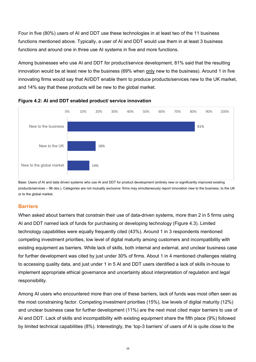Four in five (80%) users of AI and DDT use these technologies in at least two of the 11 business functions mentioned above. Typically, a user of AI and DDT would use them in at least 3 business functions and around one in three use AI systems in five and more functions.

Among businesses who use AI and DDT for product/service development, 81% said that the resulting innovation would be at least new to the business (69% when only new to the business). Around 1 in five innovating firms would say that AI/DDT enable them to produce products/services new to the UK market, and 14% say that these products will be new to the global market.



<span id="page-25-0"></span>

Base: Users of AI and data driven systems who use AI and DDT for product development (entirely new or significantly improved existing products/services – 98 obs.). Categories are not mutually exclusive: firms may simultaneously report innovation new to the business, to the UK or to the global market.

#### <span id="page-25-1"></span>**Barriers**

When asked about barriers that constrain their use of data-driven systems, more than 2 in 5 firms using AI and DDT named lack of funds for purchasing or developing technology (Figure 4.3). Limited technology capabilities were equally frequently cited (43%). Around 1 in 3 respondents mentioned competing investment priorities, low level of digital maturity among customers and incompatibility with existing equipment as barriers. While lack of skills, both internal and external, and unclear business case for further development was cited by just under 30% of firms. About 1 in 4 mentioned challenges relating to accessing quality data, and just under 1 in 5 AI and DDT users identified a lack of skills in-house to implement appropriate ethical governance and uncertainty about interpretation of regulation and legal responsibility.

Among AI users who encountered more than one of these barriers, lack of funds was most often seen as the most constraining factor. Competing investment priorities (15%), low levels of digital maturity (12%) and unclear business case for further development (11%) are the next most cited major barriers to use of AI and DDT. Lack of skills and incompatibility with existing equipment share the fifth place (9%) followed by limited technical capabilities (8%). Interestingly, the 'top-3 barriers' of users of AI is quite close to the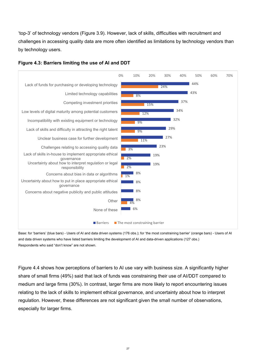'top-3' of technology vendors (Figure 3.9). However, lack of skills, difficulties with recruitment and challenges in accessing quality data are more often identified as limitations by technology vendors than by technology users.



#### <span id="page-26-0"></span>**Figure 4.3: Barriers limiting the use of AI and DDT**

Base: for 'barriers' (blue bars) - Users of AI and data driven systems (176 obs.); for 'the most constraining barrier' (orange bars) - Users of AI and data driven systems who have listed barriers limiting the development of AI and data-driven applications (127 obs.) Respondents who said "don't know" are not shown.

Figure 4.4 shows how perceptions of barriers to AI use vary with business size. A significantly higher share of small firms (49%) said that lack of funds was constraining their use of AI/DDT compared to medium and large firms (30%). In contrast, larger firms are more likely to report encountering issues relating to the lack of skills to implement ethical governance, and uncertainty about how to interpret regulation. However, these differences are not significant given the small number of observations, especially for larger firms.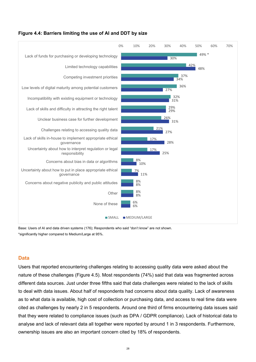

#### <span id="page-27-0"></span>**Figure 4.4: Barriers limiting the use of AI and DDT by size**

Base: Users of AI and data driven systems (176); Respondents who said "don't know" are not shown. \*significantly higher compared to Medium/Large at 95%.

#### <span id="page-27-1"></span>**Data**

Users that reported encountering challenges relating to accessing quality data were asked about the nature of these challenges (Figure 4.5). Most respondents (74%) said that data was fragmented across different data sources. Just under three fifths said that data challenges were related to the lack of skills to deal with data issues. About half of respondents had concerns about data quality. Lack of awareness as to what data is available, high cost of collection or purchasing data, and access to real time data were cited as challenges by nearly 2 in 5 respondents. Around one third of firms encountering data issues said that they were related to compliance issues (such as DPA / GDPR compliance). Lack of historical data to analyse and lack of relevant data all together were reported by around 1 in 3 respondents. Furthermore, ownership issues are also an important concern cited by 18% of respondents.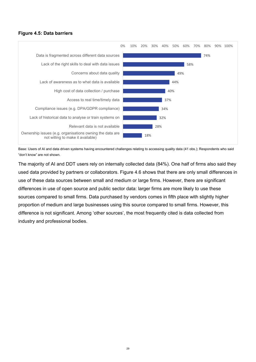#### <span id="page-28-0"></span>**Figure 4.5: Data barriers**



Base: Users of AI and data driven systems having encountered challenges relating to accessing quality data (41 obs.); Respondents who said "don't know" are not shown.

The majority of AI and DDT users rely on internally collected data (84%). One half of firms also said they used data provided by partners or collaborators. Figure 4.6 shows that there are only small differences in use of these data sources between small and medium or large firms. However, there are significant differences in use of open source and public sector data: larger firms are more likely to use these sources compared to small firms. Data purchased by vendors comes in fifth place with slightly higher proportion of medium and large businesses using this source compared to small firms. However, this difference is not significant. Among 'other sources', the most frequently cited is data collected from industry and professional bodies.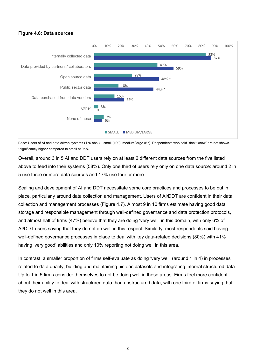#### <span id="page-29-0"></span>**Figure 4.6: Data sources**



Base: Users of AI and data driven systems (176 obs.) – small (109), medium/large (67). Respondents who said "don't know" are not shown. \*significantly higher compared to small at 95%.

Overall, around 3 in 5 AI and DDT users rely on at least 2 different data sources from the five listed above to feed into their systems (58%). Only one third of users rely only on one data source: around 2 in 5 use three or more data sources and 17% use four or more.

Scaling and development of AI and DDT necessitate some core practices and processes to be put in place, particularly around data collection and management. Users of AI/DDT are confident in their data collection and management processes (Figure 4.7). Almost 9 in 10 firms estimate having good data storage and responsible management through well-defined governance and data protection protocols, and almost half of firms (47%) believe that they are doing 'very well' in this domain, with only 6% of AI/DDT users saying that they do not do well in this respect. Similarly, most respondents said having well-defined governance processes in place to deal with key data-related decisions (80%) with 41% having 'very good' abilities and only 10% reporting not doing well in this area.

In contrast, a smaller proportion of firms self-evaluate as doing 'very well' (around 1 in 4) in processes related to data quality, building and maintaining historic datasets and integrating internal structured data. Up to 1 in 5 firms consider themselves to not be doing well in these areas. Firms feel more confident about their ability to deal with structured data than unstructured data, with one third of firms saying that they do not well in this area.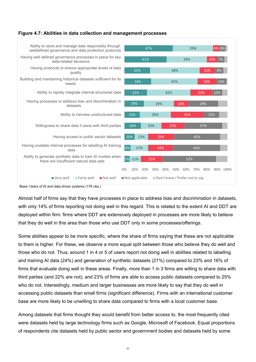#### <span id="page-30-0"></span>**Figure 4.7: Abilities in data collection and management processes**



Base: Users of AI and data driven systems (176 obs.)

Almost half of firms say that they have processes in place to address bias and discrimination in datasets, with only 14% of firms reporting not doing well in this regard. This is related to the extent AI and DDT are deployed within firm: firms where DDT are extensively deployed in processes are more likely to believe that they do well in this area than those who use DDT only in some processes/offerings.

Some abilities appear to be more specific, where the share of firms saying that these are not applicable to them is higher. For these, we observe a more equal split between those who believe they do well and those who do not. Thus, around 1 in 4 or 5 of users report not doing well in abilities related to labelling and training AI data (24%) and generation of synthetic datasets (21%) compared to 23% and 16% of firms that evaluate doing well in these areas. Finally, more than 1 in 3 firms are willing to share data with third parties (and 22% are not), and 23% of firms are able to access public datasets compared to 25% who do not. Interestingly, medium and larger businesses are more likely to say that they do well in accessing public datasets than small firms (significant difference). Firms with an international customer base are more likely to be unwilling to share data compared to firms with a local customer base.

Among datasets that firms thought they would benefit from better access to, the most frequently cited were datasets held by large technology firms such as Google, Microsoft of Facebook. Equal proportions of respondents cite datasets held by public sector and government bodies and datasets held by some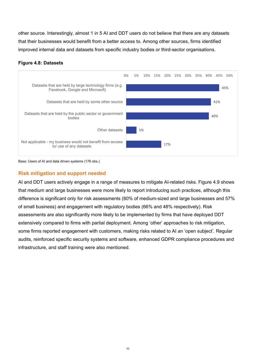other source. Interestingly, almost 1 in 5 AI and DDT users do not believe that there are any datasets that their businesses would benefit from a better access to. Among other sources, firms identified improved internal data and datasets from specific industry bodies or third-sector organisations.

#### <span id="page-31-0"></span>**Figure 4.8: Datasets**



Base: Users of AI and data driven systems (176 obs.).

### <span id="page-31-1"></span>**Risk mitigation and support needed**

AI and DDT users actively engage in a range of measures to mitigate AI-related risks. Figure 4.9 shows that medium and large businesses were more likely to report introducing such practices, although this difference is significant only for risk assessments (80% of medium-sized and large businesses and 57% of small business) and engagement with regulatory bodies (66% and 48% respectively). Risk assessments are also significantly more likely to be implemented by firms that have deployed DDT extensively compared to firms with partial deployment. Among 'other' approaches to risk mitigation, some firms reported engagement with customers, making risks related to AI an 'open subject'. Regular audits, reinforced specific security systems and software, enhanced GDPR compliance procedures and infrastructure, and staff training were also mentioned.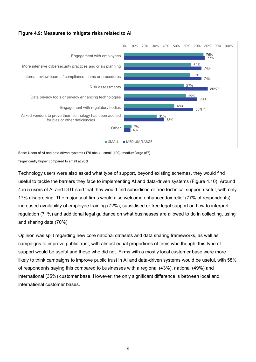#### <span id="page-32-0"></span>**Figure 4.9: Measures to mitigate risks related to AI**



Base: Users of AI and data driven systems (176 obs.) – small (109), medium/large (67).

\*significantly higher compared to small at 95%.

Technology users were also asked what type of support, beyond existing schemes, they would find useful to tackle the barriers they face to implementing AI and data-driven systems (Figure 4.10). Around 4 in 5 users of AI and DDT said that they would find subsidised or free technical support useful, with only 17% disagreeing. The majority of firms would also welcome enhanced tax relief (77% of respondents), increased availability of employee training (72%), subsidised or free legal support on how to interpret regulation (71%) and additional legal guidance on what businesses are allowed to do in collecting, using and sharing data (70%).

Opinion was split regarding new core national datasets and data sharing frameworks, as well as campaigns to improve public trust, with almost equal proportions of firms who thought this type of support would be useful and those who did not. Firms with a mostly local customer base were more likely to think campaigns to improve public trust in AI and data-driven systems would be useful, with 58% of respondents saying this compared to businesses with a regional (43%), national (49%) and international (35%) customer base. However, the only significant difference is between local and international customer bases.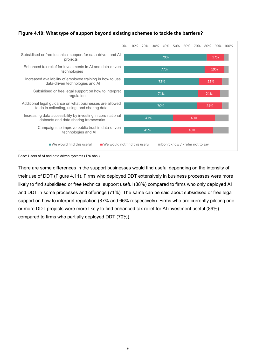<span id="page-33-0"></span>



Base: Users of AI and data driven systems (176 obs.).

There are some differences in the support businesses would find useful depending on the intensity of their use of DDT (Figure 4.11). Firms who deployed DDT extensively in business processes were more likely to find subsidised or free technical support useful (88%) compared to firms who only deployed AI and DDT in some processes and offerings (71%). The same can be said about subsidised or free legal support on how to interpret regulation (87% and 66% respectively). Firms who are currently piloting one or more DDT projects were more likely to find enhanced tax relief for AI investment useful (89%) compared to firms who partially deployed DDT (70%).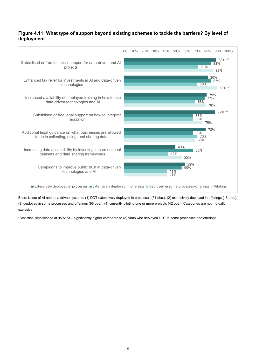#### <span id="page-34-0"></span>**Figure 4.11: What type of support beyond existing schemes to tackle the barriers? By level of deployment**



Base: Users of AI and data driven systems: (1) DDT extensively deployed in processes (51 obs.), (2) extensively deployed in offerings (16 obs.), (3) deployed in some processes and offerings (96 obs.), (4) currently piloting one or more projects (42 obs.). Categories are not mutually exclusive.

\*Statistical significance at 95%: \*3 – significantly higher compared to (3) firms who deployed DDT in some processes and offerings.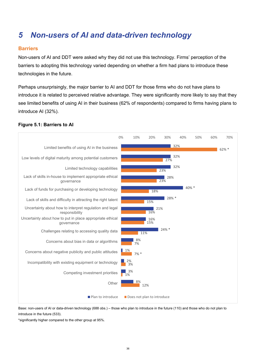# <span id="page-35-0"></span>*5 Non-users of AI and data-driven technology*

### <span id="page-35-1"></span>**Barriers**

Non-users of AI and DDT were asked why they did not use this technology. Firms' perception of the barriers to adopting this technology varied depending on whether a firm had plans to introduce these technologies in the future.

Perhaps unsurprisingly, the major barrier to AI and DDT for those firms who do not have plans to introduce it is related to perceived relative advantage. They were significantly more likely to say that they see limited benefits of using AI in their business (62% of respondents) compared to firms having plans to introduce AI (32%).

#### <span id="page-35-2"></span>**Figure 5.1: Barriers to AI**



Base: non-users of AI or data-driven technology (688 obs.) – those who plan to introduce in the future (110) and those who do not plan to introduce in the future (533).

\*significantly higher compared to the other group at 95%.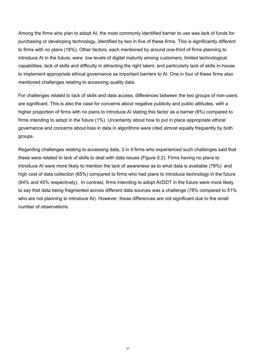Among the firms who plan to adopt AI, the most commonly identified barrier to use was lack of funds for purchasing or developing technology, identified by two in five of these firms. This is significantly different to firms with no plans (18%). Other factors, each mentioned by around one-third of firms planning to introduce AI in the future, were low levels of digital maturity among customers, limited technological capabilities, lack of skills and difficulty in attracting the right talent, and particularly lack of skills in-house to implement appropriate ethical governance as important barriers to AI. One in four of these firms also mentioned challenges relating to accessing quality data.

For challenges related to lack of skills and data access, differences between the two groups of non-users are significant. This is also the case for concerns about negative publicity and public attitudes, with a higher proportion of firms with no plans to introduce AI stating this factor as a barrier (6%) compared to firms intending to adopt in the future (1%). Uncertainty about how to put in place appropriate ethical governance and concerns about bias in data in algorithms were cited almost equally frequently by both groups.

Regarding challenges relating to accessing data, 3 in 4 firms who experienced such challenges said that these were related to lack of skills to deal with data issues (Figure 5.2). Firms having no plans to introduce AI were more likely to mention the lack of awareness as to what data is available (79%) and high cost of data collection (65%) compared to firms who had plans to introduce technology in the future (64% and 45% respectively). In contrast, firms intending to adopt AI/DDT in the future were more likely to say that data being fragmented across different data sources was a challenge (78% compared to 51% who are not planning to introduce AI). However, these differences are not significant due to the small number of observations.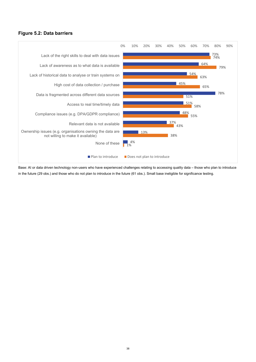#### <span id="page-37-0"></span>**Figure 5.2: Data barriers**



Base: AI or data driven technology non-users who have experienced challenges relating to accessing quality data – those who plan to introduce in the future (29 obs.) and those who do not plan to introduce in the future (61 obs.). Small base ineligible for significance testing.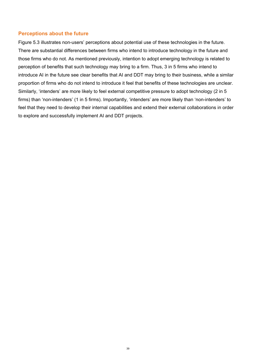#### <span id="page-38-0"></span>**Perceptions about the future**

Figure 5.3 illustrates non-users' perceptions about potential use of these technologies in the future. There are substantial differences between firms who intend to introduce technology in the future and those firms who do not. As mentioned previously, intention to adopt emerging technology is related to perception of benefits that such technology may bring to a firm. Thus, 3 in 5 firms who intend to introduce AI in the future see clear benefits that AI and DDT may bring to their business, while a similar proportion of firms who do not intend to introduce it feel that benefits of these technologies are unclear. Similarly, 'intenders' are more likely to feel external competitive pressure to adopt technology (2 in 5 firms) than 'non-intenders' (1 in 5 firms). Importantly, 'intenders' are more likely than 'non-intenders' to feel that they need to develop their internal capabilities and extend their external collaborations in order to explore and successfully implement AI and DDT projects.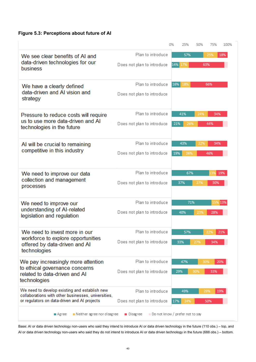### <span id="page-39-0"></span>**Figure 5.3: Perceptions about future of AI**

|                                                                                                      |                                               | 0%  | 25%     | 50% | 75%     | 100% |
|------------------------------------------------------------------------------------------------------|-----------------------------------------------|-----|---------|-----|---------|------|
| We see clear benefits of AI and<br>data-driven technologies for our                                  | Plan to introduce                             |     | 57%     |     | 25%     | 18%  |
| business                                                                                             | Does not plan to introduce                    |     | 14% 17% |     | 63%     |      |
| We have a clearly defined                                                                            | Plan to introduce                             | 16% | 18%     |     | 66%     |      |
| data-driven and AI vision and<br>strategy                                                            | Does not plan to introduce                    |     |         |     |         |      |
| Pressure to reduce costs will require                                                                | Plan to introduce                             |     | 41%     | 24% | 34%     |      |
| us to use more data-driven and AI<br>technologies in the future                                      | Does not plan to introduce                    | 21% | 26%     |     | 44%     |      |
| AI will be crucial to remaining                                                                      | Plan to introduce                             |     | 43%     | 22% | 34%     |      |
| competitive in this industry                                                                         | Does not plan to introduce                    | 19% | 26%     |     | 46%     |      |
| We need to improve our data                                                                          | Plan to introduce                             |     | 67%     |     | .3%     | 19%  |
| collection and management<br>processes                                                               | Does not plan to introduce                    |     | 37%     | 27% | 30%     |      |
| We need to improve our                                                                               | Plan to introduce                             |     | 71%     |     | 15% 13% |      |
| understanding of AI-related<br>legislation and regulation                                            | Does not plan to introduce                    |     | 40%     | 23% | 28%     |      |
| We need to invest more in our                                                                        | Plan to introduce                             |     | 57%     |     | 22%     | 21%  |
| workforce to explore opportunities<br>offered by data-driven and AI<br>technologies                  | Does not plan to introduce                    |     | 33%     | 27% | 34%     |      |
| We pay increasingly more attention                                                                   | Plan to introduce                             |     | 47%     |     | 30%     | 20%  |
| to ethical governance concerns<br>related to data-driven and AI<br>technologies                      | Does not plan to introduce                    |     | 29%     | 30% | 33%     |      |
| We need to develop existing and establish new<br>collaborations with other businesses, universities, | Plan to introduce                             |     | 49%     |     | 29%     | 19%  |
| or regulators on data-driven and AI projects                                                         | Does not plan to introduce                    | 17% | 24%     |     | 50%     |      |
| Neither agree nor disagree<br>■ Agree                                                                | Do not know / prefer not to say<br>■ Disagree |     |         |     |         |      |

Base: AI or data driven technology non-users who said they intend to introduce AI or data driven technology in the future (110 obs.) – top, and AI or data driven technology non-users who said they do not intend to introduce AI or data driven technology in the future (688 obs.) – bottom.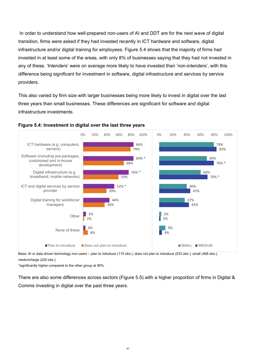In order to understand how well-prepared non-users of AI and DDT are for the next wave of digital transition, firms were asked if they had invested recently in ICT hardware and software, digital infrastructure and/or digital training for employees. Figure 5.4 shows that the majority of firms had invested in at least some of the areas, with only 8% of businesses saying that they had not invested in any of these. 'Intenders' were on average more likely to have invested than 'non-intenders', with this difference being significant for investment in software, digital infrastructure and services by service providers.

This also varied by firm size with larger businesses being more likely to invest in digital over the last three years than small businesses. These differences are significant for software and digital infrastructure investments.



#### <span id="page-40-0"></span>**Figure 5.4: Investment in digital over the last three years**

Base: AI or data driven technology non-users – plan to introduce (110 obs.), does not plan to introduce (533 obs.); small (468 obs.), medium/large (220 obs.).

\*significantly higher compared to the other group at 95%.

There are also some differences across sectors (Figure 5.5) with a higher proportion of firms in Digital & Comms investing in digital over the past three years.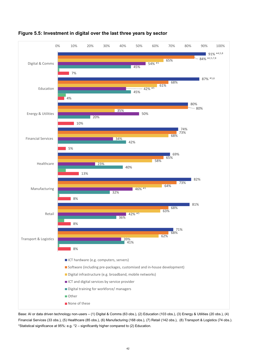

### <span id="page-41-0"></span>**Figure 5.5: Investment in digital over the last three years by sector**